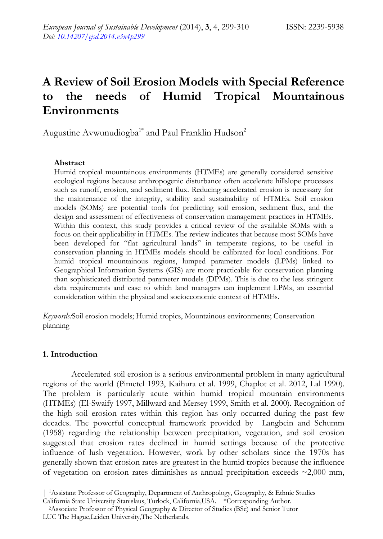# **A Review of Soil Erosion Models with Special Reference to the needs of Humid Tropical Mountainous Environments**

Augustine Avwunudiogba<sup>1\*</sup> and Paul Franklin Hudson<sup>2</sup>

## **Abstract**

Humid tropical mountainous environments (HTMEs) are generally considered sensitive ecological regions because anthropogenic disturbance often accelerate hillslope processes such as runoff, erosion, and sediment flux. Reducing accelerated erosion is necessary for the maintenance of the integrity, stability and sustainability of HTMEs. Soil erosion models (SOMs) are potential tools for predicting soil erosion, sediment flux, and the design and assessment of effectiveness of conservation management practices in HTMEs. Within this context, this study provides a critical review of the available SOMs with a focus on their applicability in HTMEs. The review indicates that because most SOMs have been developed for "flat agricultural lands" in temperate regions, to be useful in conservation planning in HTMEs models should be calibrated for local conditions. For humid tropical mountainous regions, lumped parameter models (LPMs) linked to Geographical Information Systems (GIS) are more practicable for conservation planning than sophisticated distributed parameter models (DPMs). This is due to the less stringent data requirements and ease to which land managers can implement LPMs, an essential consideration within the physical and socioeconomic context of HTMEs.

*Keywords:*Soil erosion models; Humid tropics, Mountainous environments; Conservation planning

## **1. Introduction**

Accelerated soil erosion is a serious environmental problem in many agricultural regions of the world (Pimetel 1993, Kaihura et al. 1999, Chaplot et al. 2012, Lal 1990). The problem is particularly acute within humid tropical mountain environments (HTMEs) (El-Swaify 1997, Millward and Mersey 1999, Smith et al. 2000). Recognition of the high soil erosion rates within this region has only occurred during the past few decades. The powerful conceptual framework provided by Langbein and Schumm (1958) regarding the relationship between precipitation, vegetation, and soil erosion suggested that erosion rates declined in humid settings because of the protective influence of lush vegetation. However, work by other scholars since the 1970s has generally shown that erosion rates are greatest in the humid tropics because the influence of vegetation on erosion rates diminishes as annual precipitation exceeds  $\sim$ 2,000 mm,

<sup>| 1</sup>Assistant Professor of Geography, Department of Anthropology, Geography, & Ethnic Studies

California State University Stanislaus, Turlock, California,USA. \*Corresponding Author. 2Associate Professor of Physical Geography & Director of Studies (BSc) and Senior Tutor

LUC The Hague,Leiden University,The Netherlands.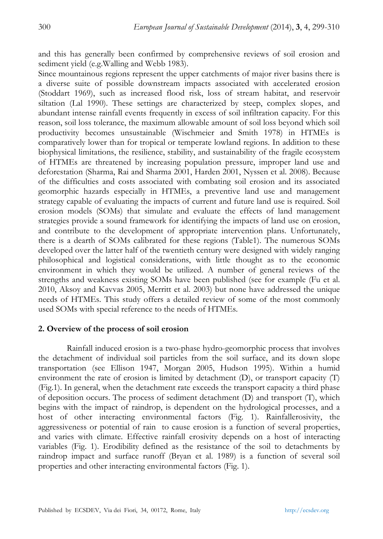and this has generally been confirmed by comprehensive reviews of soil erosion and sediment yield (e.g.Walling and Webb 1983).

Since mountainous regions represent the upper catchments of major river basins there is a diverse suite of possible downstream impacts associated with accelerated erosion (Stoddart 1969), such as increased flood risk, loss of stream habitat, and reservoir siltation (Lal 1990). These settings are characterized by steep, complex slopes, and abundant intense rainfall events frequently in excess of soil infiltration capacity. For this reason, soil loss tolerance, the maximum allowable amount of soil loss beyond which soil productivity becomes unsustainable (Wischmeier and Smith 1978) in HTMEs is comparatively lower than for tropical or temperate lowland regions. In addition to these biophysical limitations, the resilience, stability, and sustainability of the fragile ecosystem of HTMEs are threatened by increasing population pressure, improper land use and deforestation (Sharma, Rai and Sharma 2001, Harden 2001, Nyssen et al. 2008). Because of the difficulties and costs associated with combating soil erosion and its associated geomorphic hazards especially in HTMEs, a preventive land use and management strategy capable of evaluating the impacts of current and future land use is required. Soil erosion models (SOMs) that simulate and evaluate the effects of land management strategies provide a sound framework for identifying the impacts of land use on erosion, and contribute to the development of appropriate intervention plans. Unfortunately, there is a dearth of SOMs calibrated for these regions (Table1). The numerous SOMs developed over the latter half of the twentieth century were designed with widely ranging philosophical and logistical considerations, with little thought as to the economic environment in which they would be utilized. A number of general reviews of the strengths and weakness existing SOMs have been published (see for example (Fu et al. 2010, Aksoy and Kavvas 2005, Merritt et al. 2003) but none have addressed the unique needs of HTMEs. This study offers a detailed review of some of the most commonly used SOMs with special reference to the needs of HTMEs.

#### **2. Overview of the process of soil erosion**

Rainfall induced erosion is a two-phase hydro-geomorphic process that involves the detachment of individual soil particles from the soil surface, and its down slope transportation (see Ellison 1947, Morgan 2005, Hudson 1995). Within a humid environment the rate of erosion is limited by detachment (D), or transport capacity (T) (Fig.1). In general, when the detachment rate exceeds the transport capacity a third phase of deposition occurs. The process of sediment detachment (D) and transport (T), which begins with the impact of raindrop, is dependent on the hydrological processes, and a host of other interacting environmental factors (Fig. 1). Rainfallerosivity, the aggressiveness or potential of rain to cause erosion is a function of several properties, and varies with climate. Effective rainfall erosivity depends on a host of interacting variables (Fig. 1). Erodibility defined as the resistance of the soil to detachments by raindrop impact and surface runoff (Bryan et al. 1989) is a function of several soil properties and other interacting environmental factors (Fig. 1).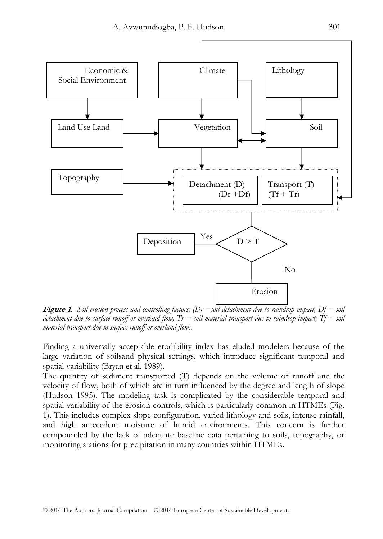

**Figure 1***. Soil erosion process and controlling factors: (Dr =soil detachment due to raindrop impact, Df = soil detachment due to surface runoff or overland flow, Tr = soil material transport due to raindrop impact; Tf = soil material transport due to surface runoff or overland flow).* 

Finding a universally acceptable erodibility index has eluded modelers because of the large variation of soilsand physical settings, which introduce significant temporal and spatial variability (Bryan et al. 1989).

The quantity of sediment transported (T) depends on the volume of runoff and the velocity of flow, both of which are in turn influenced by the degree and length of slope (Hudson 1995). The modeling task is complicated by the considerable temporal and spatial variability of the erosion controls, which is particularly common in HTMEs (Fig. 1). This includes complex slope configuration, varied lithology and soils, intense rainfall, and high antecedent moisture of humid environments. This concern is further compounded by the lack of adequate baseline data pertaining to soils, topography, or monitoring stations for precipitation in many countries within HTMEs.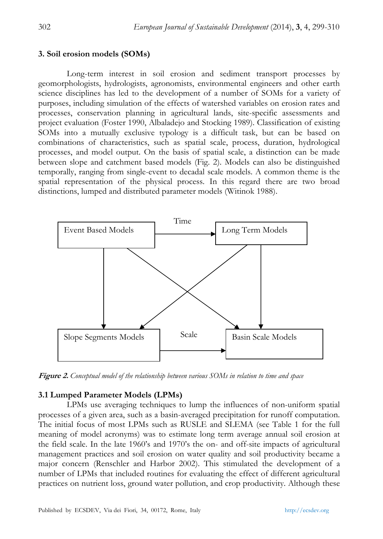#### **3. Soil erosion models (SOMs)**

Long-term interest in soil erosion and sediment transport processes by geomorphologists, hydrologists, agronomists, environmental engineers and other earth science disciplines has led to the development of a number of SOMs for a variety of purposes, including simulation of the effects of watershed variables on erosion rates and processes, conservation planning in agricultural lands, site-specific assessments and project evaluation (Foster 1990, Albaladejo and Stocking 1989). Classification of existing SOMs into a mutually exclusive typology is a difficult task, but can be based on combinations of characteristics, such as spatial scale, process, duration, hydrological processes, and model output. On the basis of spatial scale, a distinction can be made between slope and catchment based models (Fig. 2). Models can also be distinguished temporally, ranging from single-event to decadal scale models. A common theme is the spatial representation of the physical process. In this regard there are two broad distinctions, lumped and distributed parameter models (Witinok 1988).



**Figure 2.** *Conceptual model of the relationship between various SOMs in relation to time and space* 

# **3.1 Lumped Parameter Models (LPMs)**

LPMs use averaging techniques to lump the influences of non-uniform spatial processes of a given area, such as a basin-averaged precipitation for runoff computation. The initial focus of most LPMs such as RUSLE and SLEMA (see Table 1 for the full meaning of model acronyms) was to estimate long term average annual soil erosion at the field scale. In the late 1960's and 1970's the on- and off-site impacts of agricultural management practices and soil erosion on water quality and soil productivity became a major concern (Renschler and Harbor 2002). This stimulated the development of a number of LPMs that included routines for evaluating the effect of different agricultural practices on nutrient loss, ground water pollution, and crop productivity. Although these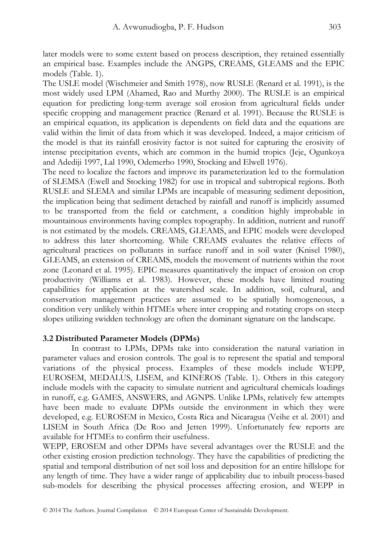later models were to some extent based on process description, they retained essentially an empirical base. Examples include the ANGPS, CREAMS, GLEAMS and the EPIC models (Table. 1).

The USLE model (Wischmeier and Smith 1978), now RUSLE (Renard et al. 1991), is the most widely used LPM (Ahamed, Rao and Murthy 2000). The RUSLE is an empirical equation for predicting long-term average soil erosion from agricultural fields under specific cropping and management practice (Renard et al. 1991). Because the RUSLE is an empirical equation, its application is dependents on field data and the equations are valid within the limit of data from which it was developed. Indeed, a major criticism of the model is that its rainfall erosivity factor is not suited for capturing the erosivity of intense precipitation events, which are common in the humid tropics (Jeje, Ogunkoya and Adediji 1997, Lal 1990, Odemerho 1990, Stocking and Elwell 1976).

The need to localize the factors and improve its parameterization led to the formulation of SLEMSA (Ewell and Stocking 1982) for use in tropical and subtropical regions. Both RUSLE and SLEMA and similar LPMs are incapable of measuring sediment deposition, the implication being that sediment detached by rainfall and runoff is implicitly assumed to be transported from the field or catchment, a condition highly improbable in mountainous environments having complex topography. In addition, nutrient and runoff is not estimated by the models. CREAMS, GLEAMS, and EPIC models were developed to address this later shortcoming. While CREAMS evaluates the relative effects of agricultural practices on pollutants in surface runoff and in soil water (Knisel 1980), GLEAMS, an extension of CREAMS, models the movement of nutrients within the root zone (Leonard et al. 1995). EPIC measures quantitatively the impact of erosion on crop productivity (Williams et al. 1983). However, these models have limited routing capabilities for application at the watershed scale. In addition, soil, cultural, and conservation management practices are assumed to be spatially homogeneous, a condition very unlikely within HTMEs where inter cropping and rotating crops on steep slopes utilizing swidden technology are often the dominant signature on the landscape.

## **3.2 Distributed Parameter Models (DPMs)**

In contrast to LPMs, DPMs take into consideration the natural variation in parameter values and erosion controls. The goal is to represent the spatial and temporal variations of the physical process. Examples of these models include WEPP, EUROSEM, MEDALUS, LISEM, and KINEROS (Table. 1). Others in this category include models with the capacity to simulate nutrient and agricultural chemicals loadings in runoff, e.g. GAMES, ANSWERS, and AGNPS. Unlike LPMs, relatively few attempts have been made to evaluate DPMs outside the environment in which they were developed, e.g. EUROSEM in Mexico, Costa Rica and Nicaragua (Veihe et al. 2001) and LISEM in South Africa (De Roo and Jetten 1999). Unfortunately few reports are available for HTMEs to confirm their usefulness.

WEPP, EROSEM and other DPMs have several advantages over the RUSLE and the other existing erosion prediction technology. They have the capabilities of predicting the spatial and temporal distribution of net soil loss and deposition for an entire hillslope for any length of time. They have a wider range of applicability due to inbuilt process-based sub-models for describing the physical processes affecting erosion, and WEPP in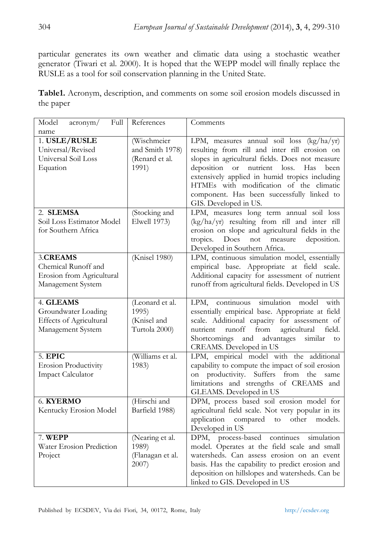particular generates its own weather and climatic data using a stochastic weather generator (Tiwari et al. 2000). It is hoped that the WEPP model will finally replace the RUSLE as a tool for soil conservation planning in the United State.

**Table1.** Acronym, description, and comments on some soil erosion models discussed in the paper

| Model<br>Full<br>acronym/<br>name                                                 | References                                                | Comments                                                                                                                                                                                                                                                                                                                                                                         |
|-----------------------------------------------------------------------------------|-----------------------------------------------------------|----------------------------------------------------------------------------------------------------------------------------------------------------------------------------------------------------------------------------------------------------------------------------------------------------------------------------------------------------------------------------------|
| 1. USLE/RUSLE<br>Universal/Revised<br>Universal Soil Loss<br>Equation             | (Wischmeier<br>and Smith 1978)<br>(Renard et al.<br>1991) | LPM, measures annual soil loss (kg/ha/yr)<br>resulting from rill and inter rill erosion on<br>slopes in agricultural fields. Does not measure<br>deposition<br><b>or</b><br>nutrient<br>loss.<br>Has<br>been<br>extensively applied in humid tropics including<br>HTMEs with modification of the climatic<br>component. Has been successfully linked to<br>GIS. Developed in US. |
| 2. SLEMSA<br>Soil Loss Estimator Model<br>for Southern Africa                     | (Stocking and<br>Elwell 1973)                             | LPM, measures long term annual soil loss<br>(kg/ha/yr) resulting from rill and inter rill<br>erosion on slope and agricultural fields in the<br>Does<br>not measure<br>deposition.<br>tropics.<br>Developed in Southern Africa.                                                                                                                                                  |
| 3.CREAMS<br>Chemical Runoff and<br>Erosion from Agricultural<br>Management System | (Knisel 1980)                                             | LPM, continuous simulation model, essentially<br>empirical base. Appropriate at field scale.<br>Additional capacity for assessment of nutrient<br>runoff from agricultural fields. Developed in US                                                                                                                                                                               |
| 4. GLEAMS<br>Groundwater Loading<br>Effects of Agricultural<br>Management System  | (Leonard et al.<br>1995)<br>(Knisel and<br>Turtola 2000)  | continuous simulation<br>LPM,<br>model<br>with<br>essentially empirical base. Appropriate at field<br>scale. Additional capacity for assessment of<br>runoff<br>nutrient<br>from<br>agricultural<br>field.<br>advantages<br>Shortcomings<br>and<br>similar<br>to<br>CREAMS. Developed in US                                                                                      |
| 5. EPIC<br><b>Erosion Productivity</b><br>Impact Calculator                       | (Williams et al.<br>1983)                                 | LPM, empirical model with the additional<br>capability to compute the impact of soil erosion<br>on productivity. Suffers from<br>the<br>same<br>limitations and strengths of CREAMS and<br>GLEAMS. Developed in US                                                                                                                                                               |
| 6. KYERMO<br>Kentucky Erosion Model                                               | (Hirschi and<br>Barfield 1988)                            | DPM, process based soil erosion model for<br>agricultural field scale. Not very popular in its<br>other<br>application<br>compared<br>$\mathop{\mathrm{to}}$<br>models.<br>Developed in US                                                                                                                                                                                       |
| 7. WEPP<br>Water Erosion Prediction<br>Project                                    | (Nearing et al.<br>1989)<br>(Flanagan et al.<br>2007)     | DPM, process-based continues simulation<br>model. Operates at the field scale and small<br>watersheds. Can assess erosion on an event<br>basis. Has the capability to predict erosion and<br>deposition on hillslopes and watersheds. Can be<br>linked to GIS. Developed in US                                                                                                   |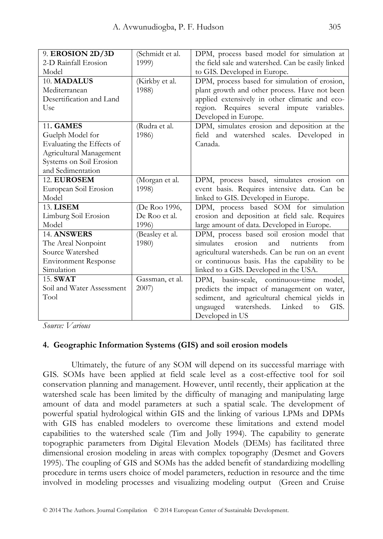| 9. EROSION 2D/3D            | (Schmidt et al. | DPM, process based model for simulation at         |
|-----------------------------|-----------------|----------------------------------------------------|
| 2-D Rainfall Erosion        | 1999)           | the field sale and watershed. Can be easily linked |
| Model                       |                 | to GIS. Developed in Europe.                       |
| 10. MADALUS                 | (Kirkby et al.  | DPM, process based for simulation of erosion,      |
| Mediterranean               | 1988)           | plant growth and other process. Have not been      |
| Desertification and Land    |                 | applied extensively in other climatic and eco-     |
| Use                         |                 | region. Requires several impute variables.         |
|                             |                 | Developed in Europe.                               |
| <b>11. GAMES</b>            | (Rudra et al.   | DPM, simulates erosion and deposition at the       |
| Guelph Model for            | 1986)           | field and watershed scales. Developed in           |
| Evaluating the Effects of   |                 | Canada.                                            |
| Agricultural Management     |                 |                                                    |
| Systems on Soil Erosion     |                 |                                                    |
| and Sedimentation           |                 |                                                    |
| 12. EUROSEM                 | (Morgan et al.  | DPM, process based, simulates erosion on           |
| European Soil Erosion       | 1998)           | event basis. Requires intensive data. Can be       |
| Model                       |                 | linked to GIS. Developed in Europe.                |
| <b>13. LISEM</b>            | (De Roo 1996,   | DPM, process based SOM for simulation              |
| Limburg Soil Erosion        | De Roo et al.   | erosion and deposition at field sale. Requires     |
| Model                       | 1996)           | large amount of data. Developed in Europe.         |
| 14. ANSWERS                 | (Beasley et al. | DPM, process based soil erosion model that         |
| The Areal Nonpoint          | 1980)           | simulates<br>erosion<br>and<br>nutrients<br>from   |
| Source Watershed            |                 | agricultural watersheds. Can be run on an event    |
| <b>Environment Response</b> |                 | or continuous basis. Has the capability to be      |
| Simulation                  |                 | linked to a GIS. Developed in the USA.             |
| 15. SWAT                    | Gassman, et al. | DPM, basin-scale, continuous-time model,           |
| Soil and Water Assessment   | 2007            | predicts the impact of management on water,        |
| Tool                        |                 | sediment, and agricultural chemical yields in      |
|                             |                 | ungauged watersheds. Linked<br>to<br>GIS.          |
|                             |                 | Developed in US                                    |

*Source: Various* 

# **4. Geographic Information Systems (GIS) and soil erosion models**

Ultimately, the future of any SOM will depend on its successful marriage with GIS. SOMs have been applied at field scale level as a cost-effective tool for soil conservation planning and management. However, until recently, their application at the watershed scale has been limited by the difficulty of managing and manipulating large amount of data and model parameters at such a spatial scale. The development of powerful spatial hydrological within GIS and the linking of various LPMs and DPMs with GIS has enabled modelers to overcome these limitations and extend model capabilities to the watershed scale (Tim and Jolly 1994). The capability to generate topographic parameters from Digital Elevation Models (DEMs) has facilitated three dimensional erosion modeling in areas with complex topography (Desmet and Govers 1995). The coupling of GIS and SOMs has the added benefit of standardizing modelling procedure in terms users choice of model parameters, reduction in resource and the time involved in modeling processes and visualizing modeling output (Green and Cruise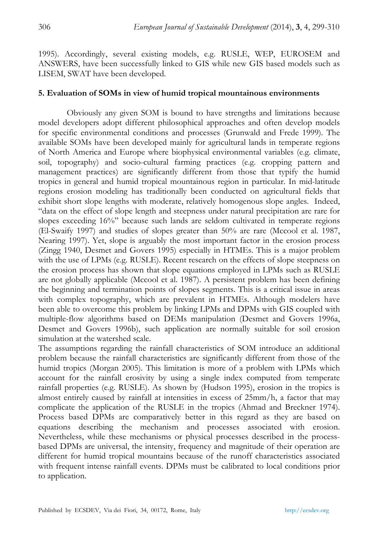1995). Accordingly, several existing models, e.g. RUSLE, WEP, EUROSEM and ANSWERS, have been successfully linked to GIS while new GIS based models such as LISEM, SWAT have been developed.

## **5. Evaluation of SOMs in view of humid tropical mountainous environments**

Obviously any given SOM is bound to have strengths and limitations because model developers adopt different philosophical approaches and often develop models for specific environmental conditions and processes (Grunwald and Frede 1999). The available SOMs have been developed mainly for agricultural lands in temperate regions of North America and Europe where biophysical environmental variables (e.g. climate, soil, topography) and socio-cultural farming practices (e.g. cropping pattern and management practices) are significantly different from those that typify the humid tropics in general and humid tropical mountainous region in particular. In mid-latitude regions erosion modeling has traditionally been conducted on agricultural fields that exhibit short slope lengths with moderate, relatively homogenous slope angles. Indeed, "data on the effect of slope length and steepness under natural precipitation are rare for slopes exceeding 16%" because such lands are seldom cultivated in temperate regions (El-Swaify 1997) and studies of slopes greater than 50% are rare (Mccool et al. 1987, Nearing 1997). Yet, slope is arguably the most important factor in the erosion process (Zingg 1940, Desmet and Govers 1995) especially in HTMEs. This is a major problem with the use of LPMs (e.g. RUSLE). Recent research on the effects of slope steepness on the erosion process has shown that slope equations employed in LPMs such as RUSLE are not globally applicable (Mccool et al. 1987). A persistent problem has been defining the beginning and termination points of slopes segments. This is a critical issue in areas with complex topography, which are prevalent in HTMEs. Although modelers have been able to overcome this problem by linking LPMs and DPMs with GIS coupled with multiple-flow algorithms based on DEMs manipulation (Desmet and Govers 1996a, Desmet and Govers 1996b), such application are normally suitable for soil erosion simulation at the watershed scale.

The assumptions regarding the rainfall characteristics of SOM introduce an additional problem because the rainfall characteristics are significantly different from those of the humid tropics (Morgan 2005). This limitation is more of a problem with LPMs which account for the rainfall erosivity by using a single index computed from temperate rainfall properties (e.g. RUSLE). As shown by (Hudson 1995), erosion in the tropics is almost entirely caused by rainfall at intensities in excess of 25mm/h, a factor that may complicate the application of the RUSLE in the tropics (Ahmad and Breckner 1974). Process based DPMs are comparatively better in this regard as they are based on equations describing the mechanism and processes associated with erosion. Nevertheless, while these mechanisms or physical processes described in the processbased DPMs are universal, the intensity, frequency and magnitude of their operation are different for humid tropical mountains because of the runoff characteristics associated with frequent intense rainfall events. DPMs must be calibrated to local conditions prior to application.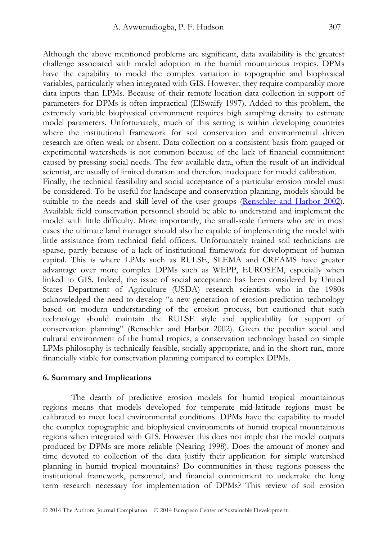Although the above mentioned problems are significant, data availability is the greatest challenge associated with model adoption in the humid mountainous tropics. DPMs have the capability to model the complex variation in topographic and biophysical variables, particularly when integrated with GIS. However, they require comparably more data inputs than LPMs. Because of their remote location data collection in support of parameters for DPMs is often impractical (ElSwaify 1997). Added to this problem, the extremely variable biophysical environment requires high sampling density to estimate model parameters. Unfortunately, much of this setting is within developing countries where the institutional framework for soil conservation and environmental driven research are often weak or absent. Data collection on a consistent basis from gauged or experimental watersheds is not common because of the lack of financial commitment caused by pressing social needs. The few available data, often the result of an individual scientist, are usually of limited duration and therefore inadequate for model calibration. Finally, the technical feasibility and social acceptance of a particular erosion model must be considered. To be useful for landscape and conservation planning, models should be suitable to the needs and skill level of the user groups (Renschler and Harbor 2002). Available field conservation personnel should be able to understand and implement the model with little difficulty. More importantly, the small-scale farmers who are in most cases the ultimate land manager should also be capable of implementing the model with little assistance from technical field officers. Unfortunately trained soil technicians are sparse, partly because of a lack of institutional framework for development of human capital. This is where LPMs such as RULSE, SLEMA and CREAMS have greater advantage over more complex DPMs such as WEPP, EUROSEM, especially when linked to GIS. Indeed, the issue of social acceptance has been considered by United States Department of Agriculture (USDA) research scientists who in the 1980s acknowledged the need to develop "a new generation of erosion prediction technology based on modern understanding of the erosion process, but cautioned that such technology should maintain the RULSE style and applicability for support of conservation planning" (Renschler and Harbor 2002). Given the peculiar social and cultural environment of the humid tropics, a conservation technology based on simple LPMs philosophy is technically feasible, socially appropriate, and in the short run, more financially viable for conservation planning compared to complex DPMs.

#### **6. Summary and Implications**

The dearth of predictive erosion models for humid tropical mountainous regions means that models developed for temperate mid-latitude regions must be calibrated to meet local environmental conditions. DPMs have the capability to model the complex topographic and biophysical environments of humid tropical mountainous regions when integrated with GIS. However this does not imply that the model outputs produced by DPMs are more reliable (Nearing 1998). Does the amount of money and time devoted to collection of the data justify their application for simple watershed planning in humid tropical mountains? Do communities in these regions possess the institutional framework, personnel, and financial commitment to undertake the long term research necessary for implementation of DPMs? This review of soil erosion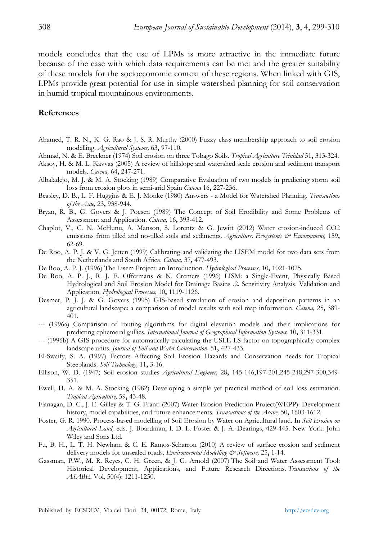models concludes that the use of LPMs is more attractive in the immediate future because of the ease with which data requirements can be met and the greater suitability of these models for the socioeconomic context of these regions. When linked with GIS, LPMs provide great potential for use in simple watershed planning for soil conservation in humid tropical mountainous environments.

#### **References**

- Ahamed, T. R. N., K. G. Rao & J. S. R. Murthy (2000) Fuzzy class membership approach to soil erosion modelling. *Agricultural Systems,* 63**,** 97-110.
- Ahmad, N. & E. Breckner (1974) Soil erosion on three Tobago Soils. *Tropical Agriculture Trinidad* 51**,** 313-324.
- Aksoy, H. & M. L. Kavvas (2005) A review of hillslope and watershed scale erosion and sediment transport models. *Catena,* 64**,** 247-271.
- Albaladejo, M. J. & M. A. Stocking (1989) Comparative Evaluation of two models in predicting storm soil loss from erosion plots in semi-arid Spain *Catena* 16**,** 227-236.
- Beasley, D. B., L. F. Huggins & E. J. Monke (1980) Answers a Model for Watershed Planning. *Transactions of the Asae,* 23**,** 938-944.
- Bryan, R. B., G. Govers & J. Poesen (1989) The Concept of Soil Erodibility and Some Problems of Assessment and Application. *Catena,* 16**,** 393-412.
- Chaplot, V., C. N. McHunu, A. Manson, S. Lorentz & G. Jewitt (2012) Water erosion-induced CO2 emissions from tilled and no-tilled soils and sediments. *Agriculture, Ecosystems & Environment,* 159**,** 62-69.
- De Roo, A. P. J. & V. G. Jetten (1999) Calibrating and validating the LISEM model for two data sets from the Netherlands and South Africa. *Catena,* 37**,** 477-493.
- De Roo, A. P. J. (1996) The Lisem Project: an Introduction. *Hydrological Processes,* 10**,** 1021-1025.
- De Roo, A. P. J., R. J. E. Offermans & N. Cremers (1996) LISM: a Single-Event, Physically Based Hydrological and Soil Erosion Model for Drainage Basins .2. Sensitivity Analysis, Validation and Application. *Hydrological Processes,* 10**,** 1119-1126.
- Desmet, P. J. J. & G. Govers (1995) GIS-based simulation of erosion and deposition patterns in an agricultural landscape: a comparison of model results with soil map information. *Catena,* 25**,** 389- 401.
- --- (1996a) Comparison of routing algorithms for digital elevation models and their implications for predicting ephemeral gullies. *International Journal of Geographical Information Systems,* 10**,** 311-331.
- --- (1996b) A GIS procedure for automatically calculating the USLE LS factor on topographically complex landscape units. *Journal of Soil and Water Conservation,* 51**,** 427-433.
- El-Swaify, S. A. (1997) Factors Affecting Soil Erosion Hazards and Conservation needs for Tropical Steeplands. *Soil Technology,* 11**,** 3-16.
- Ellison, W. D. (1947) Soil erosion studies *Agricultural Engineer,* 28**,** 145-146,197-201,245-248,297-300,349- 351.
- Ewell, H. A. & M. A. Stocking (1982) Developing a simple yet practical method of soil loss estimation. *Tropical Agriculture,* 59**,** 43-48.
- Flanagan, D. C., J. E. Gilley & T. G. Franti (2007) Water Erosion Prediction Project(WEPP): Development history, model capabilities, and future enhancements. *Transactions of the Asabe,* 50**,** 1603-1612.
- Foster, G. R. 1990. Process-based modelling of Soil Erosion by Water on Agricultural land. In *Soil Erosion on Agricultural Land,* eds. J. Boardman, I. D. L. Foster & J. A. Dearings, 429-445. New York: John Wiley and Sons Ltd.
- Fu, B. H., L. T. H. Newham & C. E. Ramos-Scharron (2010) A review of surface erosion and sediment delivery models for unsealed roads. *Environmental Modelling & Software,* 25**,** 1-14.
- Gassman, P.W., M. R. Reyes, C. H. Green, & J. G. Arnold (2007) The Soil and Water Assessment Tool: Historical Development, Applications, and Future Research Directions. *Transactions of the ASABE*. Vol. 50(4): 1211-1250.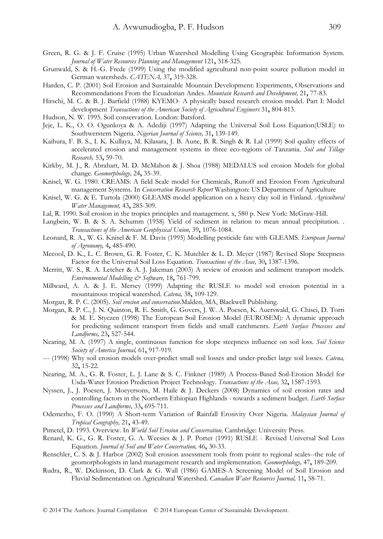- Green, R. G. & J. F. Cruise (1995) Urban Watershed Modelling Using Geographic Information System. *Journal of Water Resources Planning and Management* 121**,** 318-325.
- Grunwald, S. & H.-G. Frede (1999) Using the modified agricultural non-point source pollution model in German watersheds. *CATENA,* 37**,** 319-328.
- Harden, C. P. (2001) Soil Erosion and Sustainable Mountain Development: Experiments, Observations and Recommendations From the Ecuadorian Andes. *Mountain Research and Development,* 21**,** 77-83.
- Hirschi, M. C. & B. J. Barfield (1988) KYEMO- A physically based research erosion model. Part I: Model development *Transactions of the American Society of Agricultural Engineers* 31**,** 804-813.
- Hudson, N. W. 1995. Soil conservation. London: Batsford.
- Jeje, L. K., O. O. Ogunkoya & A. Adediji (1997) Adapting the Universal Soil Loss Equation(USLE) to Southwerstern Nigeria. *Nigerian Journal of Science,* 31**,** 139-149.
- Kaihura, F. B. S., I. K. Kullaya, M. Kilasara, J. B. Aune, B. R. Singh & R. Lal (1999) Soil quality effects of accelerated erosion and management systems in three eco-regions of Tanzania. *Soil and Tillage Research,* 53**,** 59-70.
- Kirkby, M. J., R. Abrahart, M. D. McMahon & J. Shoa (1988) MEDALUS soil erosion Models for global change. *Geomorphology,* 24**,** 35-39.
- Knisel, W. G. 1980. CREAMS: A field Scale model for Chemicals, Runoff and Erosion From Agricultural management Systems. In *Conservation Research Report* Washington: US Department of Agriculture
- Knisel, W. G. & E. Turtola (2000) GLEAMS model application on a heavy clay soil in Finland. *Agricultural Water Management,* 43**,** 285-309.
- Lal, R. 1990. Soil erosion in the tropics principles and management. x, 580 p. New York: McGraw-Hill.
- Langbein, W. B. & S. A. Schumm (1958) Yield of sediment in relation to mean annual precipitation. . *Transactions of the American Geophysical Union,* 39**,** 1076-1084.
- Leonard, R. A., W. G. Knisel & F. M. Davis (1995) Modelling pesticide fate with GLEAMS. *European Journal of Agronomy,* 4**,** 485-490.
- Mccool, D. K., L. C. Brown, G. R. Foster, C. K. Mutchler & L. D. Meyer (1987) Revised Slope Steepness Factor for the Universal Soil Loss Equation. *Transactions of the Asae,* 30**,** 1387-1396.
- Merritt, W. S., R. A. Letcher & A. J. Jakeman (2003) A review of erosion and sediment transport models. *Environmental Modelling & Software,* 18**,** 761-799.
- Millward, A. A. & J. E. Mersey (1999) Adapting the RUSLE to model soil erosion potential in a mountainous tropical watershed. *Catena,* 38**,** 109-129.
- Morgan, R. P. C. (2005). *Soil erosion and conservation*.Malden, MA, Blackwell Publishing.
- Morgan, R. P. C., J. N. Quinton, R. E. Smith, G. Govers, J. W. A. Poesen, K. Auerswald, G. Chisci, D. Torri & M. E. Styczen (1998) The European Soil Erosion Model (EUROSEM): A dynamic approach for predicting sediment transport from fields and small catchments. *Earth Surface Processes and Landforms,* 23**,** 527-544.
- Nearing, M. A. (1997) A single, continuous function for slope steepness influence on soil loss. *Soil Science Society of America Journal,* 61**,** 917-919.
- --- (1998) Why soil erosion models over-predict small soil losses and under-predict large soil losses. *Catena,* 32**,** 15-22.
- Nearing, M. A., G. R. Foster, L. J. Lane & S. C. Finkner (1989) A Process-Based Soil-Erosion Model for Usda-Water Erosion Prediction Project Technology. *Transactions of the Asae,* 32**,** 1587-1593.
- Nyssen, J., J. Poesen, J. Moeyersons, M. Haile & J. Deckers (2008) Dynamics of soil erosion rates and controlling factors in the Northern Ethiopian Highlands - towards a sediment budget. *Earth Surface Processes and Landforms,* 33**,** 695-711.
- Odemerho, F. O. (1990) A Short-term Variation of Rainfall Erosivity Over Nigeria. *Malaysian Journal of Tropical Geography,* 21**,** 43-49.
- Pimetel, D. 1993. Overview. In *World Soil Erosion and Conservation*. Cambridge: University Press.
- Renard, K. G., G. R. Foster, G. A. Weesies & J. P. Porter (1991) RUSLE Revised Universal Soil Loss Equation. *Journal of Soil and Water Conservation,* 46**,** 30-33.
- Renschler, C. S. & J. Harbor (2002) Soil erosion assessment tools from point to regional scales--the role of geomorphologists in land management research and implementation. *Geomorphology,* 47**,** 189-209.
- Rudra, R., W. Dickinson, D. Clark & G. Wall (1986) GAMES-A Screening Model of Soil Erosion and Fluvial Sedimentation on Agricultural Watershed. *Canadian Water Resources Journal,* 11**,** 58-71.